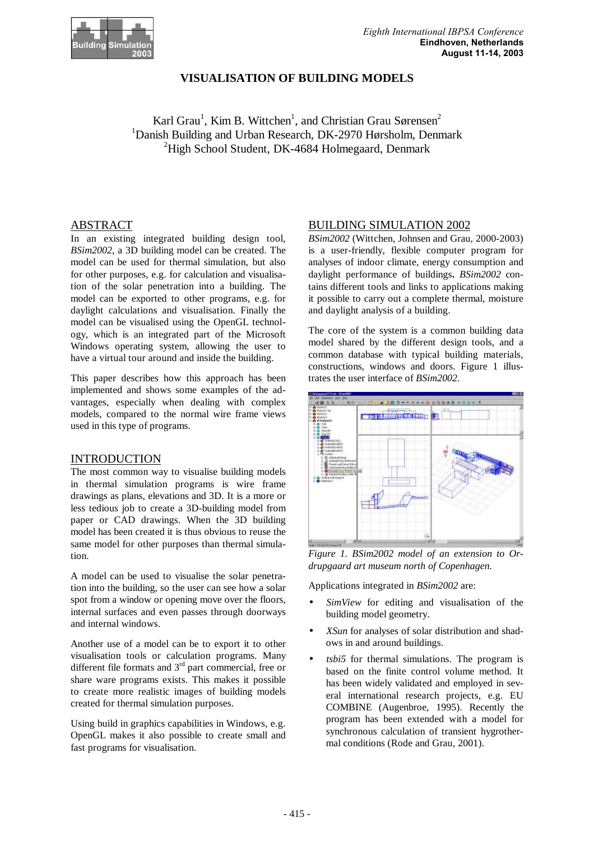

### **VISUALISATION OF BUILDING MODELS**

Karl Grau<sup>1</sup>, Kim B. Wittchen<sup>1</sup>, and Christian Grau Sørensen<sup>2</sup> <sup>1</sup>Danish Building and Urban Research, DK-2970 Hørsholm, Denmark  $^{2}$ High School Student, DK-4684 Holmegaard, Denmark

### ABSTRACT

In an existing integrated building design tool, *BSim2002*, a 3D building model can be created. The model can be used for thermal simulation, but also for other purposes, e.g. for calculation and visualisation of the solar penetration into a building. The model can be exported to other programs, e.g. for daylight calculations and visualisation. Finally the model can be visualised using the OpenGL technology, which is an integrated part of the Microsoft Windows operating system, allowing the user to have a virtual tour around and inside the building.

This paper describes how this approach has been implemented and shows some examples of the advantages, especially when dealing with complex models, compared to the normal wire frame views used in this type of programs.

#### **INTRODUCTION**

The most common way to visualise building models in thermal simulation programs is wire frame drawings as plans, elevations and 3D. It is a more or less tedious job to create a 3D-building model from paper or CAD drawings. When the 3D building model has been created it is thus obvious to reuse the same model for other purposes than thermal simulation.

A model can be used to visualise the solar penetration into the building, so the user can see how a solar spot from a window or opening move over the floors, internal surfaces and even passes through doorways and internal windows.

Another use of a model can be to export it to other visualisation tools or calculation programs. Many different file formats and 3<sup>rd</sup> part commercial, free or share ware programs exists. This makes it possible to create more realistic images of building models created for thermal simulation purposes.

Using build in graphics capabilities in Windows, e.g. OpenGL makes it also possible to create small and fast programs for visualisation.

#### BUILDING SIMULATION 2002

*BSim2002* (Wittchen, Johnsen and Grau, 2000-2003) is a user-friendly, flexible computer program for analyses of indoor climate, energy consumption and daylight performance of buildings**.** *BSim2002* contains different tools and links to applications making it possible to carry out a complete thermal, moisture and daylight analysis of a building.

The core of the system is a common building data model shared by the different design tools, and a common database with typical building materials, constructions, windows and doors. Figure 1 illustrates the user interface of *BSim2002.*



*Figure 1. BSim2002 model of an extension to Ordrupgaard art museum north of Copenhagen.*

Applications integrated in *BSim2002* are:

- SimView for editing and visualisation of the building model geometry.
- *XSun* for analyses of solar distribution and shadows in and around buildings.
- *tsbi5* for thermal simulations. The program is based on the finite control volume method. It has been widely validated and employed in several international research projects, e.g. EU COMBINE (Augenbroe, 1995). Recently the program has been extended with a model for synchronous calculation of transient hygrothermal conditions (Rode and Grau, 2001).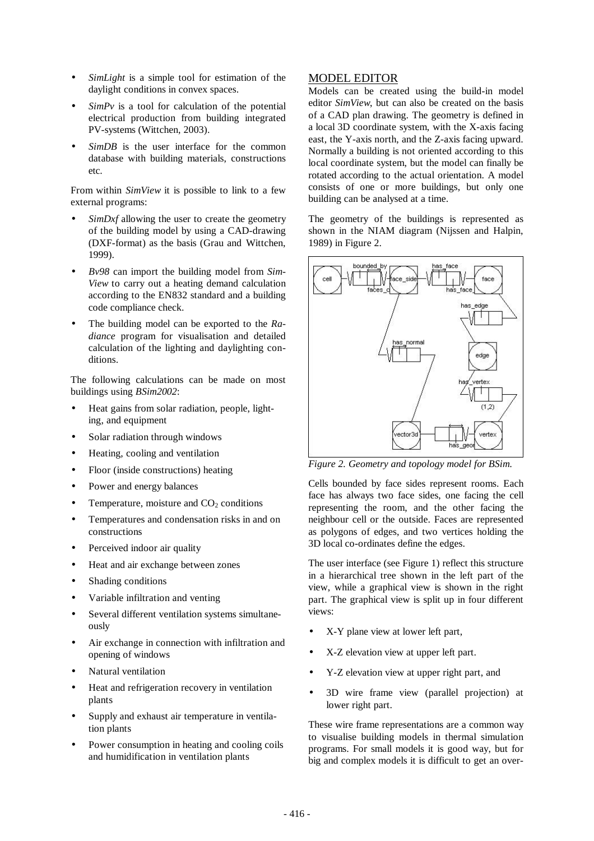- SimLight is a simple tool for estimation of the daylight conditions in convex spaces.
- $SimPv$  is a tool for calculation of the potential electrical production from building integrated PV-systems (Wittchen, 2003).
- SimDB is the user interface for the common database with building materials, constructions etc.

From within *SimView* it is possible to link to a few external programs:

- *SimDxf* allowing the user to create the geometry of the building model by using a CAD-drawing (DXF-format) as the basis (Grau and Wittchen, 1999).
- *Bv98* can import the building model from *Sim-View* to carry out a heating demand calculation according to the EN832 standard and a building code compliance check.
- The building model can be exported to the *Radiance* program for visualisation and detailed calculation of the lighting and daylighting conditions.

The following calculations can be made on most buildings using *BSim2002*:

- Heat gains from solar radiation, people, lighting, and equipment
- Solar radiation through windows
- Heating, cooling and ventilation
- Floor (inside constructions) heating
- Power and energy balances
- Temperature, moisture and  $CO<sub>2</sub>$  conditions
- Temperatures and condensation risks in and on constructions
- Perceived indoor air quality
- Heat and air exchange between zones
- Shading conditions
- Variable infiltration and venting
- Several different ventilation systems simultaneously
- Air exchange in connection with infiltration and opening of windows
- Natural ventilation
- Heat and refrigeration recovery in ventilation plants
- Supply and exhaust air temperature in ventilation plants
- Power consumption in heating and cooling coils and humidification in ventilation plants

### MODEL EDITOR

Models can be created using the build-in model editor *SimView*, but can also be created on the basis of a CAD plan drawing. The geometry is defined in a local 3D coordinate system, with the X-axis facing east, the Y-axis north, and the Z-axis facing upward. Normally a building is not oriented according to this local coordinate system, but the model can finally be rotated according to the actual orientation. A model consists of one or more buildings, but only one building can be analysed at a time.

The geometry of the buildings is represented as shown in the NIAM diagram (Nijssen and Halpin, 1989) in Figure 2.



*Figure 2. Geometry and topology model for BSim.*

Cells bounded by face sides represent rooms. Each face has always two face sides, one facing the cell representing the room, and the other facing the neighbour cell or the outside. Faces are represented as polygons of edges, and two vertices holding the 3D local co-ordinates define the edges.

The user interface (see Figure 1) reflect this structure in a hierarchical tree shown in the left part of the view, while a graphical view is shown in the right part. The graphical view is split up in four different views:

- X-Y plane view at lower left part,
- X-Z elevation view at upper left part.
- Y-Z elevation view at upper right part, and
- 3D wire frame view (parallel projection) at lower right part.

These wire frame representations are a common way to visualise building models in thermal simulation programs. For small models it is good way, but for big and complex models it is difficult to get an over-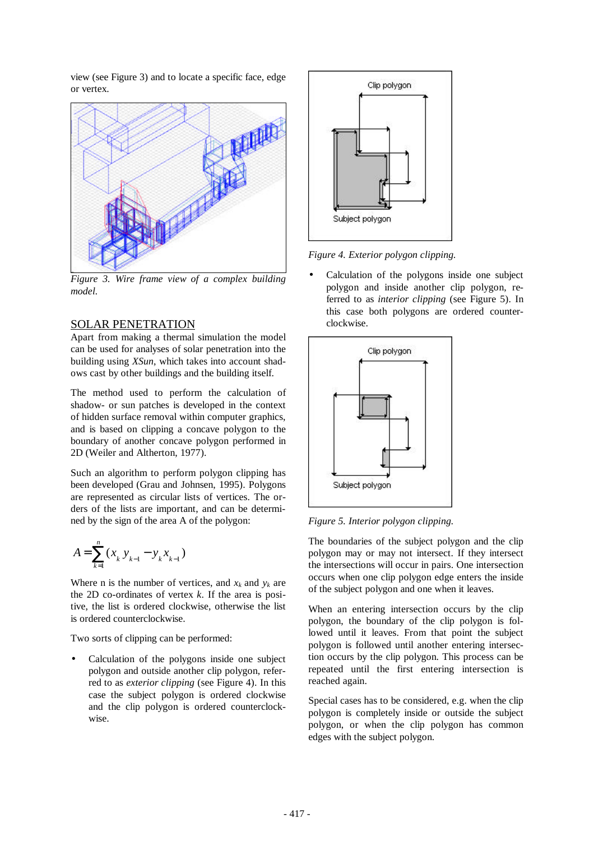view (see Figure 3) and to locate a specific face, edge or vertex.



*Figure 3. Wire frame view of a complex building model.*

# SOLAR PENETRATION

Apart from making a thermal simulation the model can be used for analyses of solar penetration into the building using *XSun*, which takes into account shadows cast by other buildings and the building itself.

The method used to perform the calculation of shadow- or sun patches is developed in the context of hidden surface removal within computer graphics, and is based on clipping a concave polygon to the boundary of another concave polygon performed in 2D (Weiler and Altherton, 1977).

Such an algorithm to perform polygon clipping has been developed (Grau and Johnsen, 1995). Polygons are represented as circular lists of vertices. The orders of the lists are important, and can be determined by the sign of the area A of the polygon:

$$
A = \sum_{k=1}^{n} (x_k y_{k-1} - y_k x_{k-1})
$$

Where n is the number of vertices, and  $x_k$  and  $y_k$  are the 2D co-ordinates of vertex *k*. If the area is positive, the list is ordered clockwise, otherwise the list is ordered counterclockwise.

Two sorts of clipping can be performed:

• Calculation of the polygons inside one subject polygon and outside another clip polygon, referred to as *exterior clipping* (see Figure 4). In this case the subject polygon is ordered clockwise and the clip polygon is ordered counterclockwise.



*Figure 4. Exterior polygon clipping.*

• Calculation of the polygons inside one subject polygon and inside another clip polygon, referred to as *interior clipping* (see Figure 5). In this case both polygons are ordered counterclockwise.



*Figure 5. Interior polygon clipping.*

The boundaries of the subject polygon and the clip polygon may or may not intersect. If they intersect the intersections will occur in pairs. One intersection occurs when one clip polygon edge enters the inside of the subject polygon and one when it leaves.

When an entering intersection occurs by the clip polygon, the boundary of the clip polygon is followed until it leaves. From that point the subject polygon is followed until another entering intersection occurs by the clip polygon. This process can be repeated until the first entering intersection is reached again.

Special cases has to be considered, e.g. when the clip polygon is completely inside or outside the subject polygon, or when the clip polygon has common edges with the subject polygon.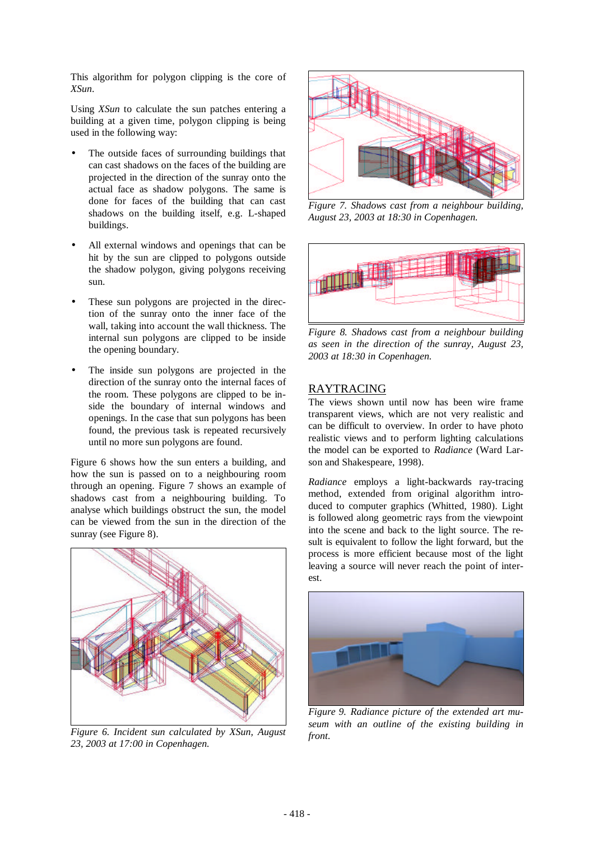This algorithm for polygon clipping is the core of *XSun*.

Using *XSun* to calculate the sun patches entering a building at a given time, polygon clipping is being used in the following way:

- The outside faces of surrounding buildings that can cast shadows on the faces of the building are projected in the direction of the sunray onto the actual face as shadow polygons. The same is done for faces of the building that can cast shadows on the building itself, e.g. L-shaped buildings.
- All external windows and openings that can be hit by the sun are clipped to polygons outside the shadow polygon, giving polygons receiving sun.
- These sun polygons are projected in the direction of the sunray onto the inner face of the wall, taking into account the wall thickness. The internal sun polygons are clipped to be inside the opening boundary.
- The inside sun polygons are projected in the direction of the sunray onto the internal faces of the room. These polygons are clipped to be inside the boundary of internal windows and openings. In the case that sun polygons has been found, the previous task is repeated recursively until no more sun polygons are found.

Figure 6 shows how the sun enters a building, and how the sun is passed on to a neighbouring room through an opening. Figure 7 shows an example of shadows cast from a neighbouring building. To analyse which buildings obstruct the sun, the model can be viewed from the sun in the direction of the sunray (see Figure 8).



*Figure 6. Incident sun calculated by XSun, August 23, 2003 at 17:00 in Copenhagen.*



*Figure 7. Shadows cast from a neighbour building, August 23, 2003 at 18:30 in Copenhagen.*



*Figure 8. Shadows cast from a neighbour building as seen in the direction of the sunray, August 23, 2003 at 18:30 in Copenhagen.*

### RAYTRACING

The views shown until now has been wire frame transparent views, which are not very realistic and can be difficult to overview. In order to have photo realistic views and to perform lighting calculations the model can be exported to *Radiance* (Ward Larson and Shakespeare, 1998).

*Radiance* employs a light-backwards ray-tracing method, extended from original algorithm introduced to computer graphics (Whitted, 1980). Light is followed along geometric rays from the viewpoint into the scene and back to the light source. The result is equivalent to follow the light forward, but the process is more efficient because most of the light leaving a source will never reach the point of interest.



*Figure 9. Radiance picture of the extended art museum with an outline of the existing building in front.*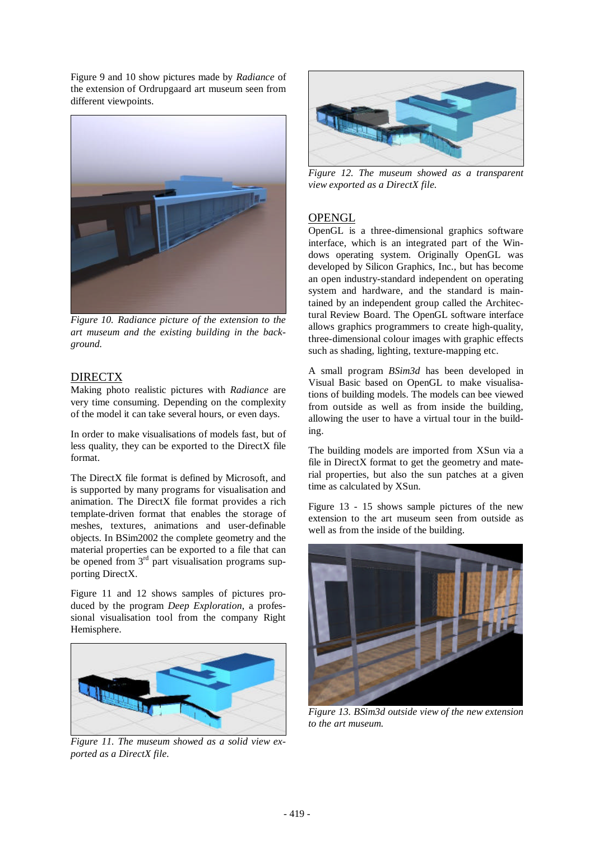Figure 9 and 10 show pictures made by *Radiance* of the extension of Ordrupgaard art museum seen from different viewpoints.



*Figure 10. Radiance picture of the extension to the art museum and the existing building in the background.*

# DIRECTX

Making photo realistic pictures with *Radiance* are very time consuming. Depending on the complexity of the model it can take several hours, or even days.

In order to make visualisations of models fast, but of less quality, they can be exported to the DirectX file format.

The DirectX file format is defined by Microsoft, and is supported by many programs for visualisation and animation. The DirectX file format provides a rich template-driven format that enables the storage of meshes, textures, animations and user-definable objects. In BSim2002 the complete geometry and the material properties can be exported to a file that can be opened from 3<sup>rd</sup> part visualisation programs supporting DirectX.

Figure 11 and 12 shows samples of pictures produced by the program *Deep Exploration*, a professional visualisation tool from the company Right Hemisphere.



*Figure 11. The museum showed as a solid view exported as a DirectX file.*



*Figure 12. The museum showed as a transparent view exported as a DirectX file.*

# **OPENGL**

OpenGL is a three-dimensional graphics software interface, which is an integrated part of the Windows operating system. Originally OpenGL was developed by Silicon Graphics, Inc., but has become an open industry-standard independent on operating system and hardware, and the standard is maintained by an independent group called the Architectural Review Board. The OpenGL software interface allows graphics programmers to create high-quality, three-dimensional colour images with graphic effects such as shading, lighting, texture-mapping etc.

A small program *BSim3d* has been developed in Visual Basic based on OpenGL to make visualisations of building models. The models can bee viewed from outside as well as from inside the building, allowing the user to have a virtual tour in the building.

The building models are imported from XSun via a file in DirectX format to get the geometry and material properties, but also the sun patches at a given time as calculated by XSun.

Figure 13 - 15 shows sample pictures of the new extension to the art museum seen from outside as well as from the inside of the building.



*Figure 13. BSim3d outside view of the new extension to the art museum.*